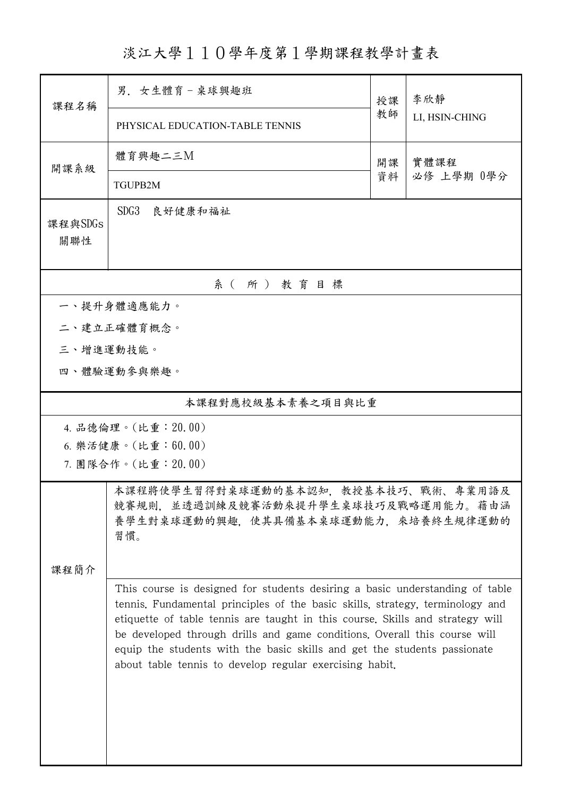淡江大學110學年度第1學期課程教學計畫表

| 課程名稱              | 男. 女生體育-桌球興趣班                                                                                                                                                                                                                                                                                                                                                                                                                                                      |          | 李欣靜                |  |  |  |  |
|-------------------|--------------------------------------------------------------------------------------------------------------------------------------------------------------------------------------------------------------------------------------------------------------------------------------------------------------------------------------------------------------------------------------------------------------------------------------------------------------------|----------|--------------------|--|--|--|--|
|                   | PHYSICAL EDUCATION-TABLE TENNIS                                                                                                                                                                                                                                                                                                                                                                                                                                    | 教師       | LI, HSIN-CHING     |  |  |  |  |
| 開課系級              | 體育興趣二三M                                                                                                                                                                                                                                                                                                                                                                                                                                                            | 開課<br>資料 | 實體課程<br>必修 上學期 0學分 |  |  |  |  |
|                   | TGUPB2M                                                                                                                                                                                                                                                                                                                                                                                                                                                            |          |                    |  |  |  |  |
| 課程與SDGs<br>關聯性    | SDG <sub>3</sub><br>良好健康和福祉                                                                                                                                                                                                                                                                                                                                                                                                                                        |          |                    |  |  |  |  |
| 系(所)教育目標          |                                                                                                                                                                                                                                                                                                                                                                                                                                                                    |          |                    |  |  |  |  |
| 一、提升身體適應能力。       |                                                                                                                                                                                                                                                                                                                                                                                                                                                                    |          |                    |  |  |  |  |
|                   | 二、建立正確體育概念。                                                                                                                                                                                                                                                                                                                                                                                                                                                        |          |                    |  |  |  |  |
| 三、增進運動技能。         |                                                                                                                                                                                                                                                                                                                                                                                                                                                                    |          |                    |  |  |  |  |
| 四、體驗運動參與樂趣。       |                                                                                                                                                                                                                                                                                                                                                                                                                                                                    |          |                    |  |  |  |  |
| 本課程對應校級基本素養之項目與比重 |                                                                                                                                                                                                                                                                                                                                                                                                                                                                    |          |                    |  |  |  |  |
|                   | 4. 品德倫理。(比重:20.00)                                                                                                                                                                                                                                                                                                                                                                                                                                                 |          |                    |  |  |  |  |
|                   | 6. 樂活健康。(比重:60.00)                                                                                                                                                                                                                                                                                                                                                                                                                                                 |          |                    |  |  |  |  |
|                   | 7. 團隊合作。(比重:20.00)                                                                                                                                                                                                                                                                                                                                                                                                                                                 |          |                    |  |  |  |  |
|                   | 本課程將使學生習得對桌球運動的基本認知,教授基本技巧、戰術、專業用語及<br>競賽規則,並透過訓練及競賽活動來提升學生桌球技巧及戰略運用能力。藉由涵<br>養學生對桌球運動的興趣, 使其具備基本桌球運動能力, 來培養終生規律運動的<br>習慣。                                                                                                                                                                                                                                                                                                                                         |          |                    |  |  |  |  |
| 课程简介              |                                                                                                                                                                                                                                                                                                                                                                                                                                                                    |          |                    |  |  |  |  |
|                   | This course is designed for students desiring a basic understanding of table<br>tennis. Fundamental principles of the basic skills, strategy, terminology and<br>etiquette of table tennis are taught in this course. Skills and strategy will<br>be developed through drills and game conditions. Overall this course will<br>equip the students with the basic skills and get the students passionate<br>about table tennis to develop regular exercising habit. |          |                    |  |  |  |  |
|                   |                                                                                                                                                                                                                                                                                                                                                                                                                                                                    |          |                    |  |  |  |  |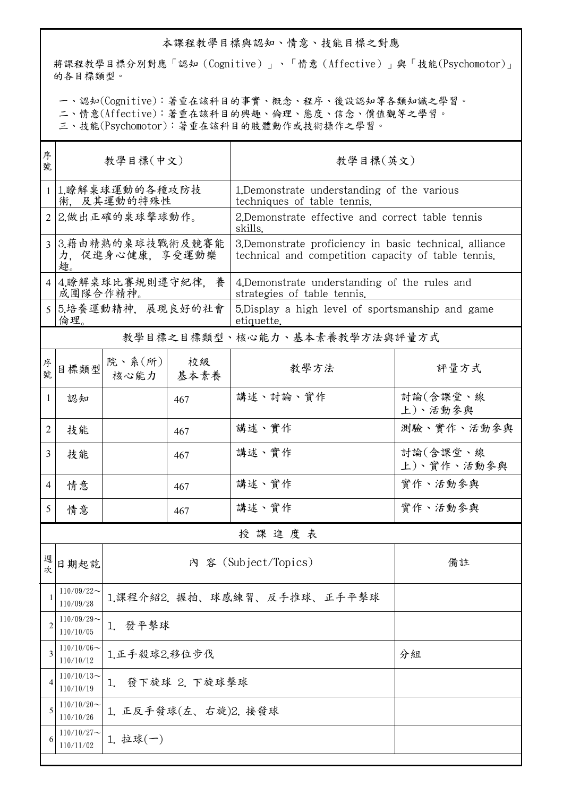## 本課程教學目標與認知、情意、技能目標之對應

將課程教學目標分別對應「認知(Cognitive)」、「情意(Affective)」與「技能(Psychomotor)」 的各目標類型。

一、認知(Cognitive):著重在該科目的事實、概念、程序、後設認知等各類知識之學習。

二、情意(Affective):著重在該科目的興趣、倫理、態度、信念、價值觀等之學習。

三、技能(Psychomotor):著重在該科目的肢體動作或技術操作之學習。

| 序<br>號         | 教學目標(中文)                                   |                             |            | 教學目標(英文)                                                                                                       |                        |  |  |  |
|----------------|--------------------------------------------|-----------------------------|------------|----------------------------------------------------------------------------------------------------------------|------------------------|--|--|--|
|                | 1 1.瞭解桌球運動的各種攻防技<br>術, 及其運動的特殊性            |                             |            | 1. Demonstrate understanding of the various<br>techniques of table tennis.                                     |                        |  |  |  |
|                | 2 2.做出正確的桌球擊球動作。                           |                             |            | 2.Demonstrate effective and correct table tennis<br>skills.                                                    |                        |  |  |  |
|                | 3 3.藉由精熟的桌球技戰術及競賽能<br>力,促進身心健康,享受運動樂<br>趣。 |                             |            | 3. Demonstrate proficiency in basic technical, alliance<br>technical and competition capacity of table tennis. |                        |  |  |  |
|                | 4 4.瞭解桌球比賽規則遵守紀律,養<br>成團隊合作精神。             |                             |            | 4. Demonstrate understanding of the rules and<br>strategies of table tennis.                                   |                        |  |  |  |
|                | 5 5.培養運動精神, 展現良好的社會<br>倫理。                 |                             |            | 5. Display a high level of sportsmanship and game<br>etiquette.                                                |                        |  |  |  |
|                | 教學目標之目標類型、核心能力、基本素養教學方法與評量方式               |                             |            |                                                                                                                |                        |  |  |  |
| 序號             | 目標類型                                       | 院、系 $(\text{m})$<br>核心能力    | 校級<br>基本素養 | 教學方法                                                                                                           | 評量方式                   |  |  |  |
| 1              | 認知                                         |                             | 467        | 講述、討論、實作                                                                                                       | 討論(含課堂、線<br>上)、活動參與    |  |  |  |
| 2              | 技能                                         |                             | 467        | 講述、實作                                                                                                          | 測驗、實作、活動參與             |  |  |  |
| 3              | 技能                                         |                             | 467        | 講述、實作                                                                                                          | 討論(含課堂、線<br>上)、實作、活動參與 |  |  |  |
| 4              | 情意                                         |                             | 467        | 講述、實作                                                                                                          | 實作、活動參與                |  |  |  |
| 5              | 情意                                         |                             | 467        | 講述、實作                                                                                                          | 實作、活動參與                |  |  |  |
| 授課進度表          |                                            |                             |            |                                                                                                                |                        |  |  |  |
| 週<br>次         | 日期起訖                                       |                             | 備註         |                                                                                                                |                        |  |  |  |
| 1              | $110/09/22$ ~<br>110/09/28                 | 1.課程介紹2. 握拍、球感練習、反手推球、正手平擊球 |            |                                                                                                                |                        |  |  |  |
| $\overline{2}$ | $110/09/29$ ~<br>110/10/05                 | 1. 發平擊球                     |            |                                                                                                                |                        |  |  |  |
| 3              | $110/10/06 \sim$<br>110/10/12              | 1.正手殺球2.移位步伐                |            | 分組                                                                                                             |                        |  |  |  |
| 4              | $110/10/13$ ~<br>110/10/19                 | 發下旋球 2. 下旋球擊球<br>1.         |            |                                                                                                                |                        |  |  |  |
| 5              | $110/10/20$ ~<br>110/10/26                 | 1. 正反手發球(左、右旋)2. 接發球        |            |                                                                                                                |                        |  |  |  |
| 6              | $110/10/27$ ~<br>110/11/02                 | $1. \pm 1$ 球 $(-)$          |            |                                                                                                                |                        |  |  |  |